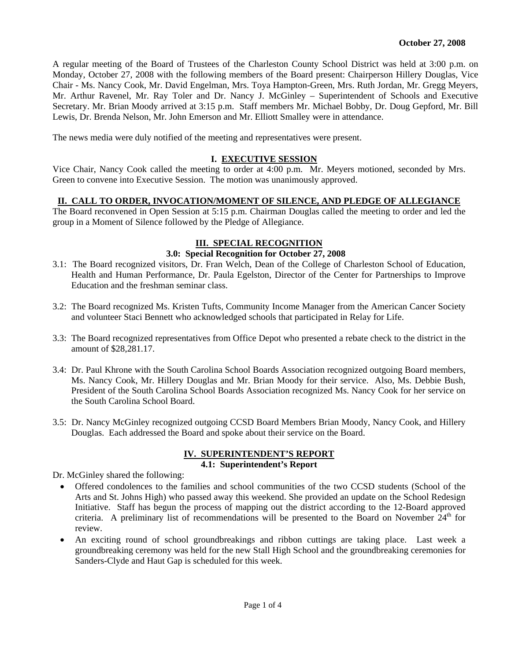A regular meeting of the Board of Trustees of the Charleston County School District was held at 3:00 p.m. on Monday, October 27, 2008 with the following members of the Board present: Chairperson Hillery Douglas, Vice Chair - Ms. Nancy Cook, Mr. David Engelman, Mrs. Toya Hampton-Green, Mrs. Ruth Jordan, Mr. Gregg Meyers, Mr. Arthur Ravenel, Mr. Ray Toler and Dr. Nancy J. McGinley – Superintendent of Schools and Executive Secretary. Mr. Brian Moody arrived at 3:15 p.m. Staff members Mr. Michael Bobby, Dr. Doug Gepford, Mr. Bill Lewis, Dr. Brenda Nelson, Mr. John Emerson and Mr. Elliott Smalley were in attendance.

The news media were duly notified of the meeting and representatives were present.

#### **I. EXECUTIVE SESSION**

Vice Chair, Nancy Cook called the meeting to order at 4:00 p.m. Mr. Meyers motioned, seconded by Mrs. Green to convene into Executive Session. The motion was unanimously approved.

#### **II. CALL TO ORDER, INVOCATION/MOMENT OF SILENCE, AND PLEDGE OF ALLEGIANCE**

The Board reconvened in Open Session at 5:15 p.m. Chairman Douglas called the meeting to order and led the group in a Moment of Silence followed by the Pledge of Allegiance.

#### **III. SPECIAL RECOGNITION**

#### **3.0: Special Recognition for October 27, 2008**

- 3.1: The Board recognized visitors, Dr. Fran Welch, Dean of the College of Charleston School of Education, Health and Human Performance, Dr. Paula Egelston, Director of the Center for Partnerships to Improve Education and the freshman seminar class.
- 3.2: The Board recognized Ms. Kristen Tufts, Community Income Manager from the American Cancer Society and volunteer Staci Bennett who acknowledged schools that participated in Relay for Life.
- 3.3: The Board recognized representatives from Office Depot who presented a rebate check to the district in the amount of \$28,281.17.
- 3.4: Dr. Paul Khrone with the South Carolina School Boards Association recognized outgoing Board members, Ms. Nancy Cook, Mr. Hillery Douglas and Mr. Brian Moody for their service. Also, Ms. Debbie Bush, President of the South Carolina School Boards Association recognized Ms. Nancy Cook for her service on the South Carolina School Board.
- 3.5: Dr. Nancy McGinley recognized outgoing CCSD Board Members Brian Moody, Nancy Cook, and Hillery Douglas. Each addressed the Board and spoke about their service on the Board.

#### **IV. SUPERINTENDENT'S REPORT 4.1: Superintendent's Report**

Dr. McGinley shared the following:

- Offered condolences to the families and school communities of the two CCSD students (School of the Arts and St. Johns High) who passed away this weekend. She provided an update on the School Redesign Initiative. Staff has begun the process of mapping out the district according to the 12-Board approved criteria. A preliminary list of recommendations will be presented to the Board on November  $24<sup>th</sup>$  for review.
- An exciting round of school groundbreakings and ribbon cuttings are taking place. Last week a groundbreaking ceremony was held for the new Stall High School and the groundbreaking ceremonies for Sanders-Clyde and Haut Gap is scheduled for this week.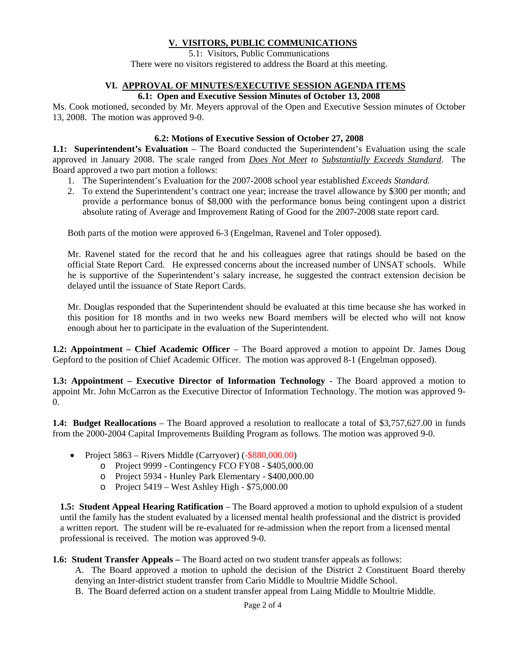# **V. VISITORS, PUBLIC COMMUNICATIONS**

5.1: Visitors, Public Communications There were no visitors registered to address the Board at this meeting.

### **VI. APPROVAL OF MINUTES/EXECUTIVE SESSION AGENDA ITEMS**

#### **6.1: Open and Executive Session Minutes of October 13, 2008**

Ms. Cook motioned, seconded by Mr. Meyers approval of the Open and Executive Session minutes of October 13, 2008. The motion was approved 9-0.

### **6.2: Motions of Executive Session of October 27, 2008**

**1.1: Superintendent's Evaluation** – The Board conducted the Superintendent's Evaluation using the scale approved in January 2008. The scale ranged from *Does Not Meet to Substantially Exceeds Standard*. The Board approved a two part motion a follows:

- 1. The Superintendent's Evaluation for the 2007-2008 school year established *Exceeds Standard.*
- 2. To extend the Superintendent's contract one year; increase the travel allowance by \$300 per month; and provide a performance bonus of \$8,000 with the performance bonus being contingent upon a district absolute rating of Average and Improvement Rating of Good for the 2007-2008 state report card.

Both parts of the motion were approved 6-3 (Engelman, Ravenel and Toler opposed).

Mr. Ravenel stated for the record that he and his colleagues agree that ratings should be based on the official State Report Card. He expressed concerns about the increased number of UNSAT schools. While he is supportive of the Superintendent's salary increase, he suggested the contract extension decision be delayed until the issuance of State Report Cards.

Mr. Douglas responded that the Superintendent should be evaluated at this time because she has worked in this position for 18 months and in two weeks new Board members will be elected who will not know enough about her to participate in the evaluation of the Superintendent.

**1.2: Appointment – Chief Academic Officer – The Board approved a motion to appoint Dr. James Doug** Gepford to the position of Chief Academic Officer. The motion was approved 8-1 (Engelman opposed).

**1.3: Appointment – Executive Director of Information Technology** - The Board approved a motion to appoint Mr. John McCarron as the Executive Director of Information Technology. The motion was approved 9- 0.

**1.4: Budget Reallocations** – The Board approved a resolution to reallocate a total of \$3,757,627.00 in funds from the 2000-2004 Capital Improvements Building Program as follows. The motion was approved 9-0.

- Project 5863 Rivers Middle (Carryover) (-\$880,000.00)
	- o Project 9999 Contingency FCO FY08 \$405,000.00
	- o Project 5934 Hunley Park Elementary \$400,000.00
	- o Project 5419 West Ashley High \$75,000.00

**1.5: Student Appeal Hearing Ratification** – The Board approved a motion to uphold expulsion of a student until the family has the student evaluated by a licensed mental health professional and the district is provided a written report. The student will be re-evaluated for re-admission when the report from a licensed mental professional is received. The motion was approved 9-0.

**1.6: Student Transfer Appeals – The Board acted on two student transfer appeals as follows:** 

A. The Board approved a motion to uphold the decision of the District 2 Constituent Board thereby denying an Inter-district student transfer from Cario Middle to Moultrie Middle School.

B. The Board deferred action on a student transfer appeal from Laing Middle to Moultrie Middle.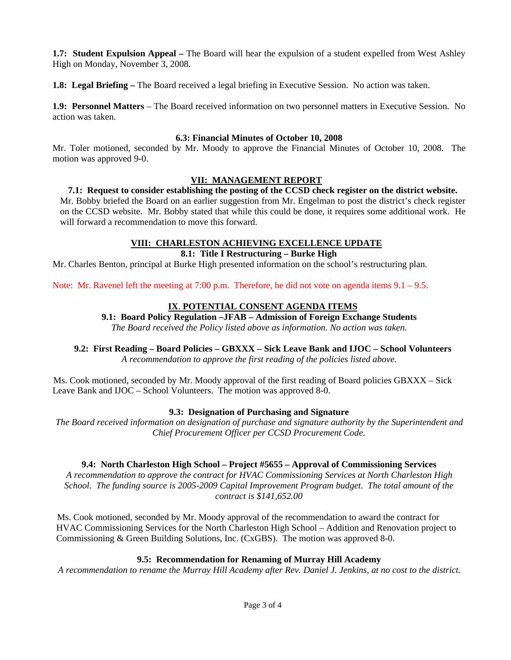**1.7: Student Expulsion Appeal –** The Board will hear the expulsion of a student expelled from West Ashley High on Monday, November 3, 2008.

**1.8: Legal Briefing –** The Board received a legal briefing in Executive Session. No action was taken.

**1.9: Personnel Matters** – The Board received information on two personnel matters in Executive Session. No action was taken.

### **6.3: Financial Minutes of October 10, 2008**

Mr. Toler motioned, seconded by Mr. Moody to approve the Financial Minutes of October 10, 2008. The motion was approved 9-0.

# **VII: MANAGEMENT REPORT**

**7.1: Request to consider establishing the posting of the CCSD check register on the district website.**  Mr. Bobby briefed the Board on an earlier suggestion from Mr. Engelman to post the district's check register on the CCSD website. Mr. Bobby stated that while this could be done, it requires some additional work. He will forward a recommendation to move this forward.

# **VIII: CHARLESTON ACHIEVING EXCELLENCE UPDATE**

# **8.1: Title I Restructuring – Burke High**

Mr. Charles Benton, principal at Burke High presented information on the school's restructuring plan.

Note: Mr. Ravenel left the meeting at 7:00 p.m. Therefore, he did not vote on agenda items  $9.1 - 9.5$ .

# **IX**. **POTENTIAL CONSENT AGENDA ITEMS**

# **9.1: Board Policy Regulation –JFAB – Admission of Foreign Exchange Students**

*The Board received the Policy listed above as information. No action was taken.* 

#### **9.2: First Reading – Board Policies – GBXXX – Sick Leave Bank and IJOC – School Volunteers**  *A recommendation to approve the first reading of the policies listed above.*

Ms. Cook motioned, seconded by Mr. Moody approval of the first reading of Board policies GBXXX – Sick Leave Bank and IJOC – School Volunteers. The motion was approved 8-0.

### **9.3: Designation of Purchasing and Signature**

*The Board received information on designation of purchase and signature authority by the Superintendent and Chief Procurement Officer per CCSD Procurement Code.* 

### **9.4: North Charleston High School – Project #5655 – Approval of Commissioning Services**

*A recommendation to approve the contract for HVAC Commissioning Services at North Charleston High School. The funding source is 2005-2009 Capital Improvement Program budget. The total amount of the contract is \$141,652.00* 

Ms. Cook motioned, seconded by Mr. Moody approval of the recommendation to award the contract for HVAC Commissioning Services for the North Charleston High School – Addition and Renovation project to Commissioning & Green Building Solutions, Inc. (CxGBS). The motion was approved 8-0.

### **9.5: Recommendation for Renaming of Murray Hill Academy**

*A recommendation to rename the Murray Hill Academy after Rev. Daniel J. Jenkins, at no cost to the district.*